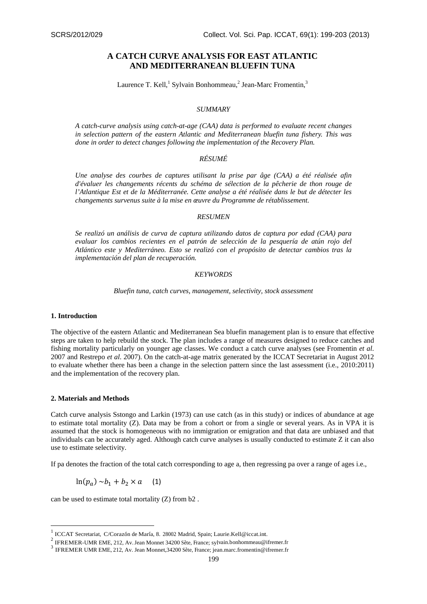# **A CATCH CURVE ANALYSIS FOR EAST ATLANTIC AND MEDITERRANEAN BLUEFIN TUNA**

Laurence T. Kell,<sup>1</sup> Sylvain Bonhommeau,<sup>2</sup> Jean-Marc Fromentin,<sup>3</sup>

### *SUMMARY*

*A catch-curve analysis using catch-at-age (CAA) data is performed to evaluate recent changes in selection pattern of the eastern Atlantic and Mediterranean bluefin tuna fishery. This was done in order to detect changes following the implementation of the Recovery Plan.* 

## *RÉSUMÉ*

*Une analyse des courbes de captures utilisant la prise par âge (CAA) a été réalisée afin d'évaluer les changements récents du schéma de sélection de la pêcherie de thon rouge de l'Atlantique Est et de la Méditerranée. Cette analyse a été réalisée dans le but de détecter les changements survenus suite à la mise en œuvre du Programme de rétablissement.* 

#### *RESUMEN*

*Se realizó un análisis de curva de captura utilizando datos de captura por edad (CAA) para evaluar los cambios recientes en el patrón de selección de la pesquería de atún rojo del Atlántico este y Mediterráneo. Esto se realizó con el propósito de detectar cambios tras la implementación del plan de recuperación.* 

### *KEYWORDS*

*Bluefin tuna, catch curves, management, selectivity, stock assessment* 

#### **1. Introduction**

The objective of the eastern Atlantic and Mediterranean Sea bluefin management plan is to ensure that effective steps are taken to help rebuild the stock. The plan includes a range of measures designed to reduce catches and fishing mortality particularly on younger age classes. We conduct a catch curve analyses (see Fromentin *et al*. 2007 and Restrepo *et al*. 2007). On the catch-at-age matrix generated by the ICCAT Secretariat in August 2012 to evaluate whether there has been a change in the selection pattern since the last assessment (i.e., 2010:2011) and the implementation of the recovery plan.

#### **2. Materials and Methods**

Catch curve analysis Sstongo and Larkin (1973) can use catch (as in this study) or indices of abundance at age to estimate total mortality (Z). Data may be from a cohort or from a single or several years. As in VPA it is assumed that the stock is homogeneous with no immigration or emigration and that data are unbiased and that individuals can be accurately aged. Although catch curve analyses is usually conducted to estimate Z it can also use to estimate selectivity.

If pa denotes the fraction of the total catch corresponding to age a, then regressing pa over a range of ages i.e.,

 $ln(p_a) \sim b_1 + b_2 \times a$  (1)

can be used to estimate total mortality (Z) from b2 .

<sup>1</sup>

ICCAT Secretariat, C/Corazón de María, 8. 28002 Madrid, Spain; Laurie.Kell@iccat.int.<br>IFREMER-UMR EME, 212, Av. Jean Monnet 34200 Sète, France; sylvain.bonhommeau@ifremer.fr

IFREMER UMR EME, 212, Av. Jean Monnet, 34200 Sète, France; jean.marc.fromentin@ifremer.fr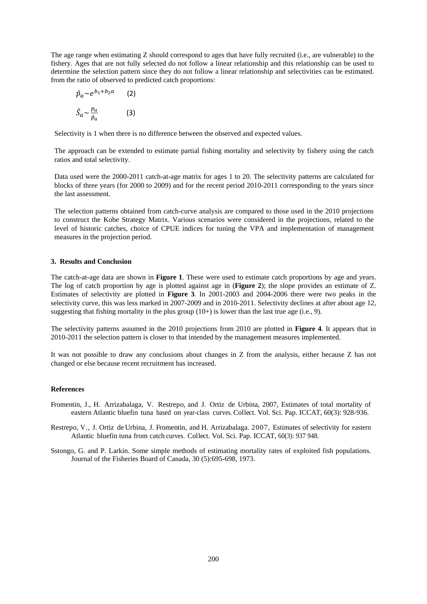The age range when estimating Z should correspond to ages that have fully recruited (i.e., are vulnerable) to the fishery. Ages that are not fully selected do not follow a linear relationship and this relationship can be used to determine the selection pattern since they do not follow a linear relationship and selectivities can be estimated. from the ratio of observed to predicted catch proportions:

$$
\hat{p}_a \sim e^{b_1 + b_2 a} \qquad (2)
$$

$$
\hat{S}_a \sim \frac{p_a}{\hat{p}_a} \qquad (3)
$$

Selectivity is 1 when there is no difference between the observed and expected values.

The approach can be extended to estimate partial fishing mortality and selectivity by fishery using the catch ratios and total selectivity.

Data used were the 2000-2011 catch-at-age matrix for ages 1 to 20. The selectivity patterns are calculated for blocks of three years (for 2000 to 2009) and for the recent period 2010-2011 corresponding to the years since the last assessment.

The selection patterns obtained from catch-curve analysis are compared to those used in the 2010 projections to construct the Kobe Strategy Matrix. Various scenarios were considered in the projections, related to the level of historic catches, choice of CPUE indices for tuning the VPA and implementation of management measures in the projection period.

#### **3. Results and Conclusion**

The catch-at-age data are shown in **Figure 1**. These were used to estimate catch proportions by age and years. The log of catch proportion by age is plotted against age in (**Figure 2**); the slope provides an estimate of Z. Estimates of selectivity are plotted in **Figure 3**. In 2001-2003 and 2004-2006 there were two peaks in the selectivity curve, this was less marked in 2007-2009 and in 2010-2011. Selectivity declines at after about age 12, suggesting that fishing mortality in the plus group  $(10+)$  is lower than the last true age (i.e., 9).

The selectivity patterns assumed in the 2010 projections from 2010 are plotted in **Figure 4**. It appears that in 2010-2011 the selection pattern is closer to that intended by the management measures implemented.

It was not possible to draw any conclusions about changes in Z from the analysis, either because Z has not changed or else because recent recruitment has increased.

### **References**

- Fromentin, J., H. Arrizabalaga, V. Restrepo, and J. Ortiz de Urbina, 2007, Estimates of total mortality of eastern Atlantic bluefin tuna based on year-class curves. Collect. Vol. Sci. Pap. ICCAT, 60(3): 928-936.
- Restrepo, V., J. Ortiz de Urbina, J. Fromentin, and H. Arrizabalaga. 2007, Estimates of selectivity for eastern Atlantic bluefin tuna from catch curves. Collect. Vol. Sci. Pap. ICCAT, 60(3): 937 948.
- Sstongo, G. and P. Larkin. Some simple methods of estimating mortality rates of exploited fish populations. Journal of the Fisheries Board of Canada, 30 (5):695-698, 1973.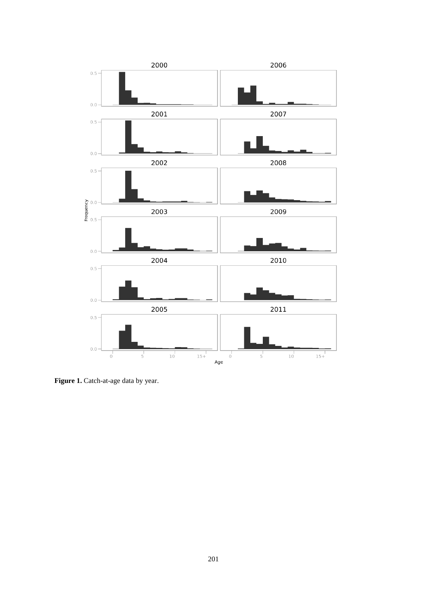

**Figure 1.** Catch-at-age data by year.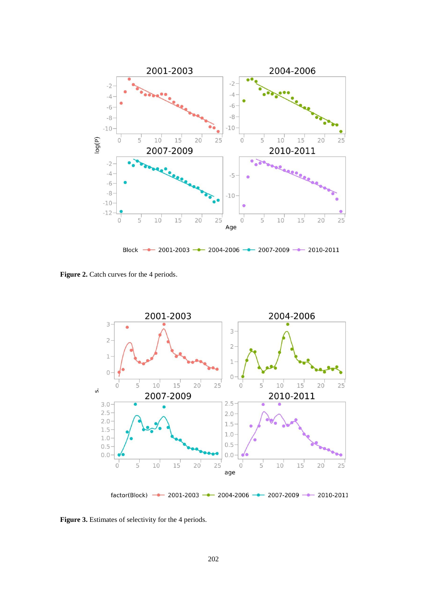

Figure 2. Catch curves for the 4 periods.



Figure 3. Estimates of selectivity for the 4 periods.